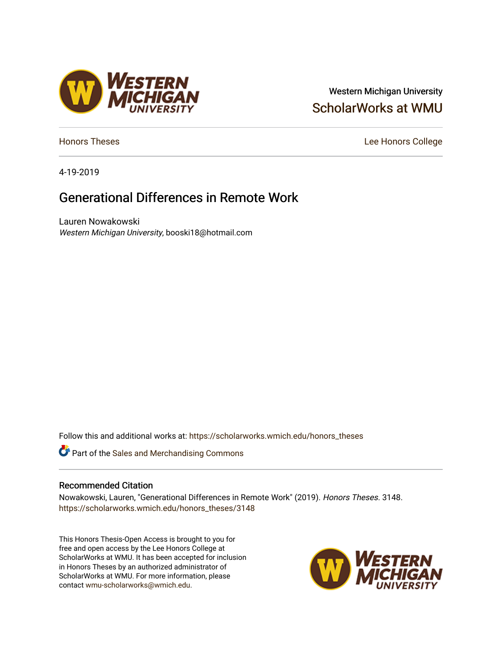# Western Michigan University [ScholarWorks at WMU](https://scholarworks.wmich.edu/)

[Honors Theses](https://scholarworks.wmich.edu/honors_theses) **Lee Honors** College

4-19-2019

# Generational Differences in Remote Work

Lauren Nowakowski Western Michigan University, booski18@hotmail.com

Follow this and additional works at: [https://scholarworks.wmich.edu/honors\\_theses](https://scholarworks.wmich.edu/honors_theses?utm_source=scholarworks.wmich.edu%2Fhonors_theses%2F3148&utm_medium=PDF&utm_campaign=PDFCoverPages)

*C* Part of the [Sales and Merchandising Commons](http://network.bepress.com/hgg/discipline/646?utm_source=scholarworks.wmich.edu%2Fhonors_theses%2F3148&utm_medium=PDF&utm_campaign=PDFCoverPages)

#### Recommended Citation

Nowakowski, Lauren, "Generational Differences in Remote Work" (2019). Honors Theses. 3148. [https://scholarworks.wmich.edu/honors\\_theses/3148](https://scholarworks.wmich.edu/honors_theses/3148?utm_source=scholarworks.wmich.edu%2Fhonors_theses%2F3148&utm_medium=PDF&utm_campaign=PDFCoverPages) 

This Honors Thesis-Open Access is brought to you for free and open access by the Lee Honors College at ScholarWorks at WMU. It has been accepted for inclusion in Honors Theses by an authorized administrator of ScholarWorks at WMU. For more information, please contact [wmu-scholarworks@wmich.edu](mailto:wmu-scholarworks@wmich.edu).



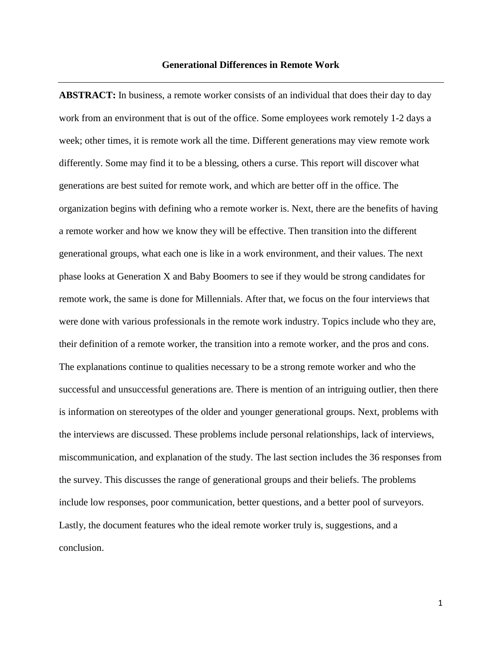**ABSTRACT:** In business, a remote worker consists of an individual that does their day to day work from an environment that is out of the office. Some employees work remotely 1-2 days a week; other times, it is remote work all the time. Different generations may view remote work differently. Some may find it to be a blessing, others a curse. This report will discover what generations are best suited for remote work, and which are better off in the office. The organization begins with defining who a remote worker is. Next, there are the benefits of having a remote worker and how we know they will be effective. Then transition into the different generational groups, what each one is like in a work environment, and their values. The next phase looks at Generation X and Baby Boomers to see if they would be strong candidates for remote work, the same is done for Millennials. After that, we focus on the four interviews that were done with various professionals in the remote work industry. Topics include who they are, their definition of a remote worker, the transition into a remote worker, and the pros and cons. The explanations continue to qualities necessary to be a strong remote worker and who the successful and unsuccessful generations are. There is mention of an intriguing outlier, then there is information on stereotypes of the older and younger generational groups. Next, problems with the interviews are discussed. These problems include personal relationships, lack of interviews, miscommunication, and explanation of the study. The last section includes the 36 responses from the survey. This discusses the range of generational groups and their beliefs. The problems include low responses, poor communication, better questions, and a better pool of surveyors. Lastly, the document features who the ideal remote worker truly is, suggestions, and a conclusion.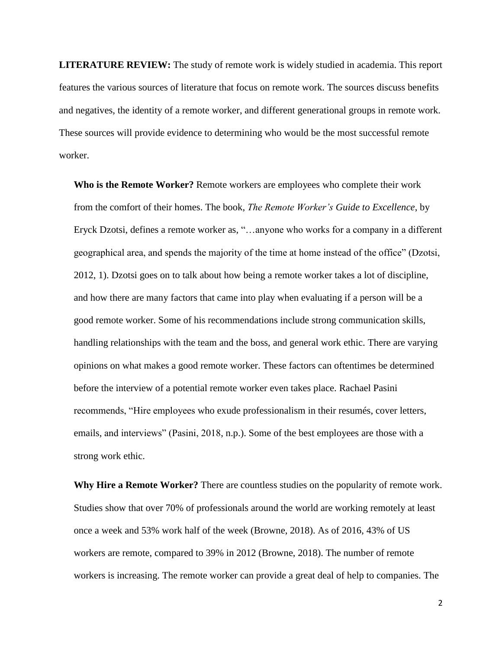**LITERATURE REVIEW:** The study of remote work is widely studied in academia. This report features the various sources of literature that focus on remote work. The sources discuss benefits and negatives, the identity of a remote worker, and different generational groups in remote work. These sources will provide evidence to determining who would be the most successful remote worker.

**Who is the Remote Worker?** Remote workers are employees who complete their work from the comfort of their homes. The book, *The Remote Worker's Guide to Excellence*, by Eryck Dzotsi, defines a remote worker as, "…anyone who works for a company in a different geographical area, and spends the majority of the time at home instead of the office" (Dzotsi, 2012, 1). Dzotsi goes on to talk about how being a remote worker takes a lot of discipline, and how there are many factors that came into play when evaluating if a person will be a good remote worker. Some of his recommendations include strong communication skills, handling relationships with the team and the boss, and general work ethic. There are varying opinions on what makes a good remote worker. These factors can oftentimes be determined before the interview of a potential remote worker even takes place. Rachael Pasini recommends, "Hire employees who exude professionalism in their resumés, cover letters, emails, and interviews" (Pasini, 2018, n.p.). Some of the best employees are those with a strong work ethic.

**Why Hire a Remote Worker?** There are countless studies on the popularity of remote work. Studies show that over 70% of professionals around the world are working remotely at least once a week and 53% work half of the week (Browne, 2018). As of 2016, 43% of US workers are remote, compared to 39% in 2012 (Browne, 2018). The number of remote workers is increasing. The remote worker can provide a great deal of help to companies. The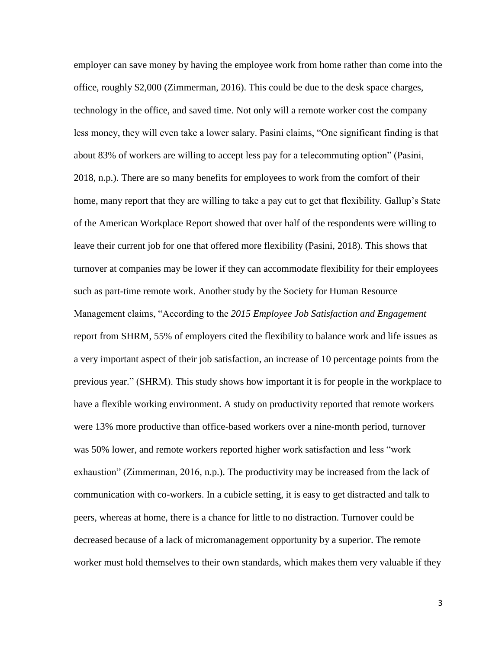employer can save money by having the employee work from home rather than come into the office, roughly \$2,000 (Zimmerman, 2016). This could be due to the desk space charges, technology in the office, and saved time. Not only will a remote worker cost the company less money, they will even take a lower salary. Pasini claims, "One significant finding is that about 83% of workers are willing to accept less pay for a telecommuting option" (Pasini, 2018, n.p.). There are so many benefits for employees to work from the comfort of their home, many report that they are willing to take a pay cut to get that flexibility. Gallup's State of the American Workplace Report showed that over half of the respondents were willing to leave their current job for one that offered more flexibility (Pasini, 2018). This shows that turnover at companies may be lower if they can accommodate flexibility for their employees such as part-time remote work. Another study by the Society for Human Resource Management claims, "According to the *2015 Employee Job Satisfaction and Engagement* report from SHRM, 55% of employers cited the flexibility to balance work and life issues as a very important aspect of their job satisfaction, an increase of 10 percentage points from the previous year." (SHRM). This study shows how important it is for people in the workplace to have a flexible working environment. A study on productivity reported that remote workers were 13% more productive than office-based workers over a nine-month period, turnover was 50% lower, and remote workers reported higher work satisfaction and less "work exhaustion" (Zimmerman, 2016, n.p.). The productivity may be increased from the lack of communication with co-workers. In a cubicle setting, it is easy to get distracted and talk to peers, whereas at home, there is a chance for little to no distraction. Turnover could be decreased because of a lack of micromanagement opportunity by a superior. The remote worker must hold themselves to their own standards, which makes them very valuable if they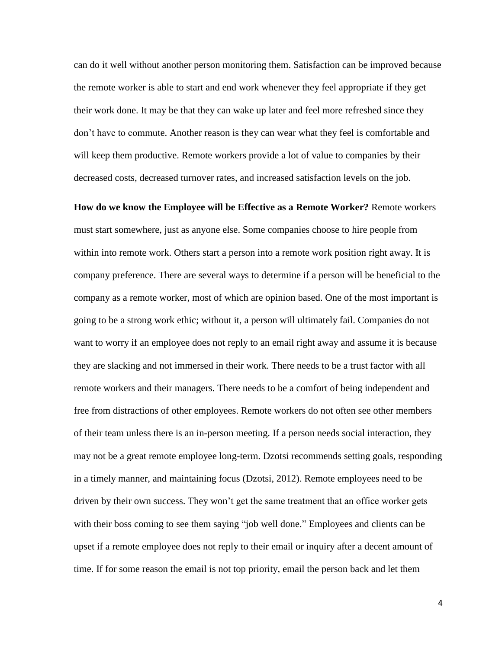can do it well without another person monitoring them. Satisfaction can be improved because the remote worker is able to start and end work whenever they feel appropriate if they get their work done. It may be that they can wake up later and feel more refreshed since they don't have to commute. Another reason is they can wear what they feel is comfortable and will keep them productive. Remote workers provide a lot of value to companies by their decreased costs, decreased turnover rates, and increased satisfaction levels on the job.

**How do we know the Employee will be Effective as a Remote Worker?** Remote workers must start somewhere, just as anyone else. Some companies choose to hire people from within into remote work. Others start a person into a remote work position right away. It is company preference. There are several ways to determine if a person will be beneficial to the company as a remote worker, most of which are opinion based. One of the most important is going to be a strong work ethic; without it, a person will ultimately fail. Companies do not want to worry if an employee does not reply to an email right away and assume it is because they are slacking and not immersed in their work. There needs to be a trust factor with all remote workers and their managers. There needs to be a comfort of being independent and free from distractions of other employees. Remote workers do not often see other members of their team unless there is an in-person meeting. If a person needs social interaction, they may not be a great remote employee long-term. Dzotsi recommends setting goals, responding in a timely manner, and maintaining focus (Dzotsi, 2012). Remote employees need to be driven by their own success. They won't get the same treatment that an office worker gets with their boss coming to see them saying "job well done." Employees and clients can be upset if a remote employee does not reply to their email or inquiry after a decent amount of time. If for some reason the email is not top priority, email the person back and let them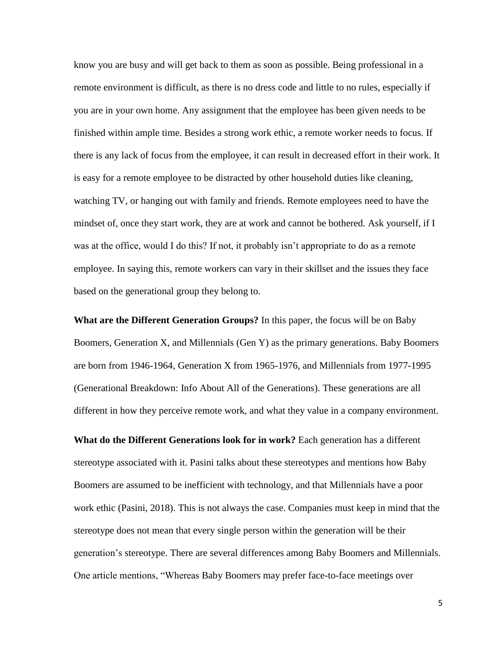know you are busy and will get back to them as soon as possible. Being professional in a remote environment is difficult, as there is no dress code and little to no rules, especially if you are in your own home. Any assignment that the employee has been given needs to be finished within ample time. Besides a strong work ethic, a remote worker needs to focus. If there is any lack of focus from the employee, it can result in decreased effort in their work. It is easy for a remote employee to be distracted by other household duties like cleaning, watching TV, or hanging out with family and friends. Remote employees need to have the mindset of, once they start work, they are at work and cannot be bothered. Ask yourself, if I was at the office, would I do this? If not, it probably isn't appropriate to do as a remote employee. In saying this, remote workers can vary in their skillset and the issues they face based on the generational group they belong to.

**What are the Different Generation Groups?** In this paper, the focus will be on Baby Boomers, Generation X, and Millennials (Gen Y) as the primary generations. Baby Boomers are born from 1946-1964, Generation X from 1965-1976, and Millennials from 1977-1995 (Generational Breakdown: Info About All of the Generations). These generations are all different in how they perceive remote work, and what they value in a company environment.

**What do the Different Generations look for in work?** Each generation has a different stereotype associated with it. Pasini talks about these stereotypes and mentions how Baby Boomers are assumed to be inefficient with technology, and that Millennials have a poor work ethic (Pasini, 2018). This is not always the case. Companies must keep in mind that the stereotype does not mean that every single person within the generation will be their generation's stereotype. There are several differences among Baby Boomers and Millennials. One article mentions, "Whereas Baby Boomers may prefer face-to-face meetings over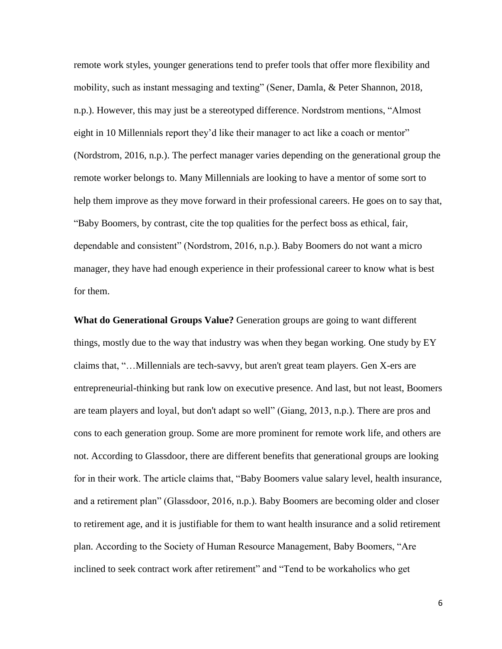remote work styles, younger generations tend to prefer tools that offer more flexibility and mobility, such as instant messaging and texting" (Sener, Damla, & Peter Shannon, 2018, n.p.). However, this may just be a stereotyped difference. Nordstrom mentions, "Almost eight in 10 Millennials report they'd like their manager to act like a coach or mentor" (Nordstrom, 2016, n.p.). The perfect manager varies depending on the generational group the remote worker belongs to. Many Millennials are looking to have a mentor of some sort to help them improve as they move forward in their professional careers. He goes on to say that, "Baby Boomers, by contrast, cite the top qualities for the perfect boss as ethical, fair, dependable and consistent" (Nordstrom, 2016, n.p.). Baby Boomers do not want a micro manager, they have had enough experience in their professional career to know what is best for them.

**What do Generational Groups Value?** Generation groups are going to want different things, mostly due to the way that industry was when they began working. One study by EY claims that, "…Millennials are tech-savvy, but aren't great team players. Gen X-ers are entrepreneurial-thinking but rank low on executive presence. And last, but not least, Boomers are team players and loyal, but don't adapt so well" (Giang, 2013, n.p.). There are pros and cons to each generation group. Some are more prominent for remote work life, and others are not. According to Glassdoor, there are different benefits that generational groups are looking for in their work. The article claims that, "Baby Boomers value salary level, health insurance, and a retirement plan" (Glassdoor, 2016, n.p.). Baby Boomers are becoming older and closer to retirement age, and it is justifiable for them to want health insurance and a solid retirement plan. According to the Society of Human Resource Management, Baby Boomers, "Are inclined to seek contract work after retirement" and "Tend to be workaholics who get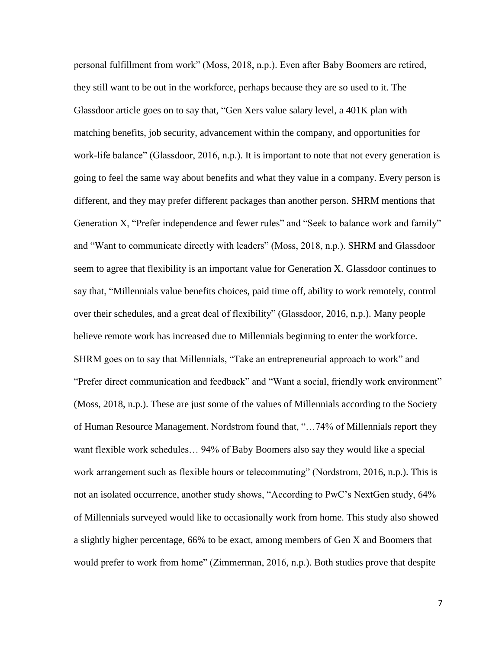personal fulfillment from work" (Moss, 2018, n.p.). Even after Baby Boomers are retired, they still want to be out in the workforce, perhaps because they are so used to it. The Glassdoor article goes on to say that, "Gen Xers value salary level, a 401K plan with matching benefits, job security, advancement within the company, and opportunities for work-life balance" (Glassdoor, 2016, n.p.). It is important to note that not every generation is going to feel the same way about benefits and what they value in a company. Every person is different, and they may prefer different packages than another person. SHRM mentions that Generation X, "Prefer independence and fewer rules" and "Seek to balance work and family" and "Want to communicate directly with leaders" (Moss, 2018, n.p.). SHRM and Glassdoor seem to agree that flexibility is an important value for Generation X. Glassdoor continues to say that, "Millennials value benefits choices, paid time off, ability to work remotely, control over their schedules, and a great deal of flexibility" (Glassdoor, 2016, n.p.). Many people believe remote work has increased due to Millennials beginning to enter the workforce. SHRM goes on to say that Millennials, "Take an entrepreneurial approach to work" and "Prefer direct communication and feedback" and "Want a social, friendly work environment" (Moss, 2018, n.p.). These are just some of the values of Millennials according to the Society of Human Resource Management. Nordstrom found that, "…74% of Millennials report they want flexible work schedules… 94% of Baby Boomers also say they would like a special work arrangement such as flexible hours or telecommuting" (Nordstrom, 2016, n.p.). This is not an isolated occurrence, another study shows, "According to PwC's NextGen study, 64% of Millennials surveyed would like to occasionally work from home. This study also showed a slightly higher percentage, 66% to be exact, among members of Gen X and Boomers that would prefer to work from home" (Zimmerman, 2016, n.p.). Both studies prove that despite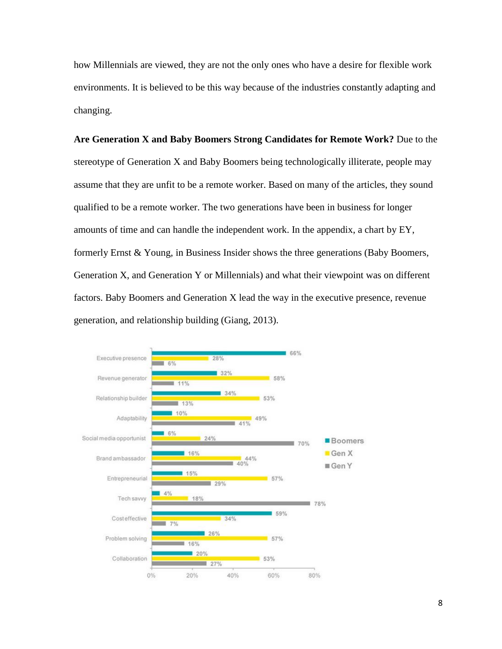how Millennials are viewed, they are not the only ones who have a desire for flexible work environments. It is believed to be this way because of the industries constantly adapting and changing.

**Are Generation X and Baby Boomers Strong Candidates for Remote Work?** Due to the stereotype of Generation X and Baby Boomers being technologically illiterate, people may assume that they are unfit to be a remote worker. Based on many of the articles, they sound qualified to be a remote worker. The two generations have been in business for longer amounts of time and can handle the independent work. In the appendix, a chart by EY, formerly Ernst & Young, in Business Insider shows the three generations (Baby Boomers, Generation X, and Generation Y or Millennials) and what their viewpoint was on different factors. Baby Boomers and Generation X lead the way in the executive presence, revenue generation, and relationship building (Giang, 2013).

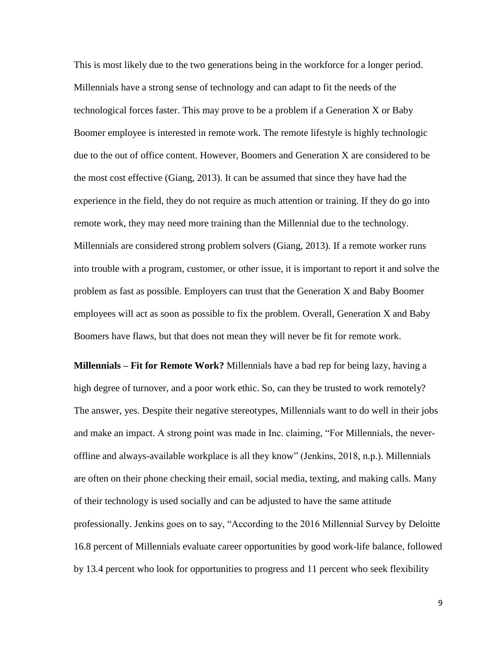This is most likely due to the two generations being in the workforce for a longer period. Millennials have a strong sense of technology and can adapt to fit the needs of the technological forces faster. This may prove to be a problem if a Generation X or Baby Boomer employee is interested in remote work. The remote lifestyle is highly technologic due to the out of office content. However, Boomers and Generation X are considered to be the most cost effective (Giang, 2013). It can be assumed that since they have had the experience in the field, they do not require as much attention or training. If they do go into remote work, they may need more training than the Millennial due to the technology. Millennials are considered strong problem solvers (Giang, 2013). If a remote worker runs into trouble with a program, customer, or other issue, it is important to report it and solve the problem as fast as possible. Employers can trust that the Generation X and Baby Boomer employees will act as soon as possible to fix the problem. Overall, Generation X and Baby Boomers have flaws, but that does not mean they will never be fit for remote work.

**Millennials – Fit for Remote Work?** Millennials have a bad rep for being lazy, having a high degree of turnover, and a poor work ethic. So, can they be trusted to work remotely? The answer, yes. Despite their negative stereotypes, Millennials want to do well in their jobs and make an impact. A strong point was made in Inc. claiming, "For Millennials, the neveroffline and always-available workplace is all they know" (Jenkins, 2018, n.p.). Millennials are often on their phone checking their email, social media, texting, and making calls. Many of their technology is used socially and can be adjusted to have the same attitude professionally. Jenkins goes on to say, "According to the 2016 Millennial Survey by Deloitte 16.8 percent of Millennials evaluate career opportunities by good work-life balance, followed by 13.4 percent who look for opportunities to progress and 11 percent who seek flexibility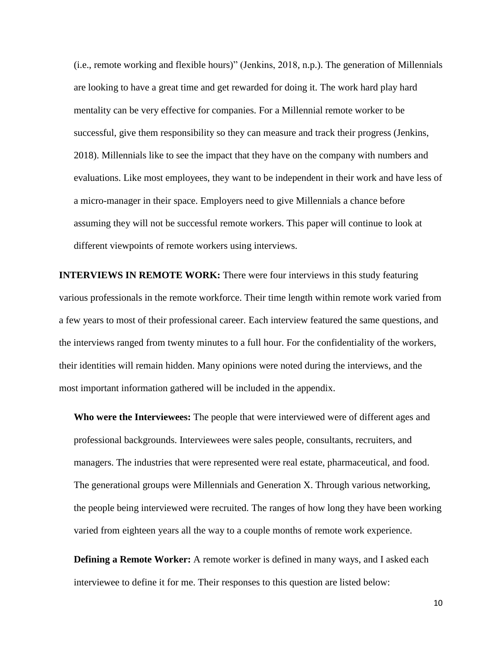(i.e., remote working and flexible hours)" (Jenkins, 2018, n.p.). The generation of Millennials are looking to have a great time and get rewarded for doing it. The work hard play hard mentality can be very effective for companies. For a Millennial remote worker to be successful, give them responsibility so they can measure and track their progress (Jenkins, 2018). Millennials like to see the impact that they have on the company with numbers and evaluations. Like most employees, they want to be independent in their work and have less of a micro-manager in their space. Employers need to give Millennials a chance before assuming they will not be successful remote workers. This paper will continue to look at different viewpoints of remote workers using interviews.

**INTERVIEWS IN REMOTE WORK:** There were four interviews in this study featuring various professionals in the remote workforce. Their time length within remote work varied from a few years to most of their professional career. Each interview featured the same questions, and the interviews ranged from twenty minutes to a full hour. For the confidentiality of the workers, their identities will remain hidden. Many opinions were noted during the interviews, and the most important information gathered will be included in the appendix.

**Who were the Interviewees:** The people that were interviewed were of different ages and professional backgrounds. Interviewees were sales people, consultants, recruiters, and managers. The industries that were represented were real estate, pharmaceutical, and food. The generational groups were Millennials and Generation X. Through various networking, the people being interviewed were recruited. The ranges of how long they have been working varied from eighteen years all the way to a couple months of remote work experience.

**Defining a Remote Worker:** A remote worker is defined in many ways, and I asked each interviewee to define it for me. Their responses to this question are listed below: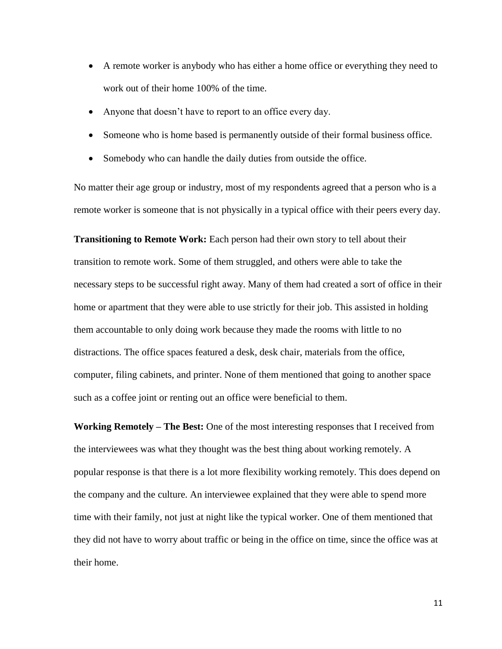- A remote worker is anybody who has either a home office or everything they need to work out of their home 100% of the time.
- Anyone that doesn't have to report to an office every day.
- Someone who is home based is permanently outside of their formal business office.
- Somebody who can handle the daily duties from outside the office.

No matter their age group or industry, most of my respondents agreed that a person who is a remote worker is someone that is not physically in a typical office with their peers every day.

**Transitioning to Remote Work:** Each person had their own story to tell about their transition to remote work. Some of them struggled, and others were able to take the necessary steps to be successful right away. Many of them had created a sort of office in their home or apartment that they were able to use strictly for their job. This assisted in holding them accountable to only doing work because they made the rooms with little to no distractions. The office spaces featured a desk, desk chair, materials from the office, computer, filing cabinets, and printer. None of them mentioned that going to another space such as a coffee joint or renting out an office were beneficial to them.

**Working Remotely – The Best:** One of the most interesting responses that I received from the interviewees was what they thought was the best thing about working remotely. A popular response is that there is a lot more flexibility working remotely. This does depend on the company and the culture. An interviewee explained that they were able to spend more time with their family, not just at night like the typical worker. One of them mentioned that they did not have to worry about traffic or being in the office on time, since the office was at their home.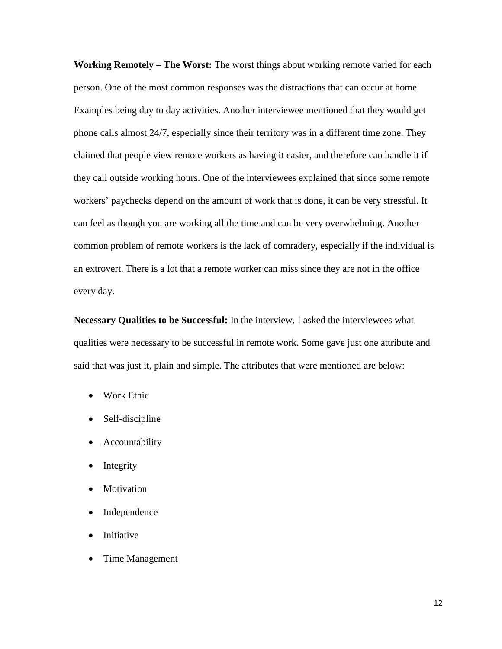**Working Remotely – The Worst:** The worst things about working remote varied for each person. One of the most common responses was the distractions that can occur at home. Examples being day to day activities. Another interviewee mentioned that they would get phone calls almost 24/7, especially since their territory was in a different time zone. They claimed that people view remote workers as having it easier, and therefore can handle it if they call outside working hours. One of the interviewees explained that since some remote workers' paychecks depend on the amount of work that is done, it can be very stressful. It can feel as though you are working all the time and can be very overwhelming. Another common problem of remote workers is the lack of comradery, especially if the individual is an extrovert. There is a lot that a remote worker can miss since they are not in the office every day.

**Necessary Qualities to be Successful:** In the interview, I asked the interviewees what qualities were necessary to be successful in remote work. Some gave just one attribute and said that was just it, plain and simple. The attributes that were mentioned are below:

- Work Ethic
- Self-discipline
- Accountability
- Integrity
- Motivation
- Independence
- **Initiative**
- Time Management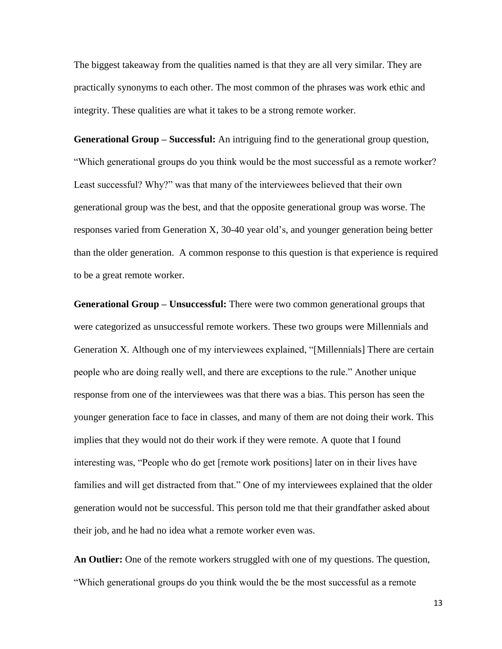The biggest takeaway from the qualities named is that they are all very similar. They are practically synonyms to each other. The most common of the phrases was work ethic and integrity. These qualities are what it takes to be a strong remote worker.

**Generational Group – Successful:** An intriguing find to the generational group question, "Which generational groups do you think would be the most successful as a remote worker? Least successful? Why?" was that many of the interviewees believed that their own generational group was the best, and that the opposite generational group was worse. The responses varied from Generation X, 30-40 year old's, and younger generation being better than the older generation. A common response to this question is that experience is required to be a great remote worker.

**Generational Group – Unsuccessful:** There were two common generational groups that were categorized as unsuccessful remote workers. These two groups were Millennials and Generation X. Although one of my interviewees explained, "[Millennials] There are certain people who are doing really well, and there are exceptions to the rule." Another unique response from one of the interviewees was that there was a bias. This person has seen the younger generation face to face in classes, and many of them are not doing their work. This implies that they would not do their work if they were remote. A quote that I found interesting was, "People who do get [remote work positions] later on in their lives have families and will get distracted from that." One of my interviewees explained that the older generation would not be successful. This person told me that their grandfather asked about their job, and he had no idea what a remote worker even was.

**An Outlier:** One of the remote workers struggled with one of my questions. The question, "Which generational groups do you think would the be the most successful as a remote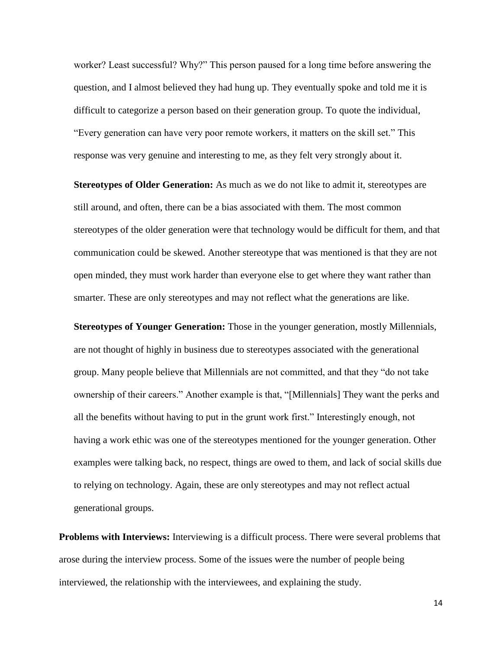worker? Least successful? Why?" This person paused for a long time before answering the question, and I almost believed they had hung up. They eventually spoke and told me it is difficult to categorize a person based on their generation group. To quote the individual, "Every generation can have very poor remote workers, it matters on the skill set." This response was very genuine and interesting to me, as they felt very strongly about it.

**Stereotypes of Older Generation:** As much as we do not like to admit it, stereotypes are still around, and often, there can be a bias associated with them. The most common stereotypes of the older generation were that technology would be difficult for them, and that communication could be skewed. Another stereotype that was mentioned is that they are not open minded, they must work harder than everyone else to get where they want rather than smarter. These are only stereotypes and may not reflect what the generations are like.

**Stereotypes of Younger Generation:** Those in the younger generation, mostly Millennials, are not thought of highly in business due to stereotypes associated with the generational group. Many people believe that Millennials are not committed, and that they "do not take ownership of their careers." Another example is that, "[Millennials] They want the perks and all the benefits without having to put in the grunt work first." Interestingly enough, not having a work ethic was one of the stereotypes mentioned for the younger generation. Other examples were talking back, no respect, things are owed to them, and lack of social skills due to relying on technology. Again, these are only stereotypes and may not reflect actual generational groups.

**Problems with Interviews:** Interviewing is a difficult process. There were several problems that arose during the interview process. Some of the issues were the number of people being interviewed, the relationship with the interviewees, and explaining the study.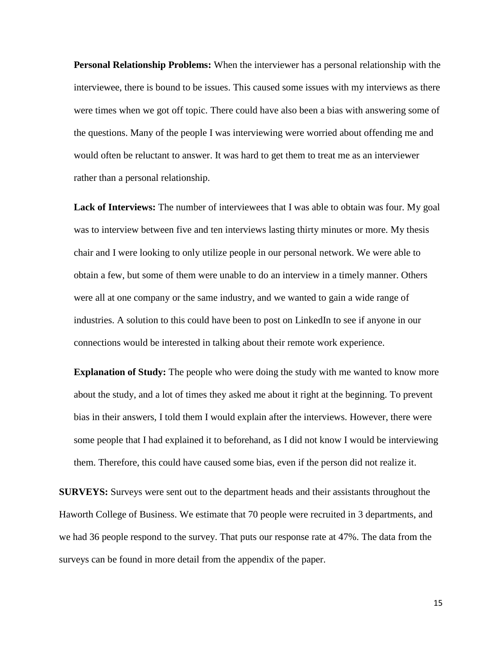**Personal Relationship Problems:** When the interviewer has a personal relationship with the interviewee, there is bound to be issues. This caused some issues with my interviews as there were times when we got off topic. There could have also been a bias with answering some of the questions. Many of the people I was interviewing were worried about offending me and would often be reluctant to answer. It was hard to get them to treat me as an interviewer rather than a personal relationship.

**Lack of Interviews:** The number of interviewees that I was able to obtain was four. My goal was to interview between five and ten interviews lasting thirty minutes or more. My thesis chair and I were looking to only utilize people in our personal network. We were able to obtain a few, but some of them were unable to do an interview in a timely manner. Others were all at one company or the same industry, and we wanted to gain a wide range of industries. A solution to this could have been to post on LinkedIn to see if anyone in our connections would be interested in talking about their remote work experience.

**Explanation of Study:** The people who were doing the study with me wanted to know more about the study, and a lot of times they asked me about it right at the beginning. To prevent bias in their answers, I told them I would explain after the interviews. However, there were some people that I had explained it to beforehand, as I did not know I would be interviewing them. Therefore, this could have caused some bias, even if the person did not realize it.

**SURVEYS:** Surveys were sent out to the department heads and their assistants throughout the Haworth College of Business. We estimate that 70 people were recruited in 3 departments, and we had 36 people respond to the survey. That puts our response rate at 47%. The data from the surveys can be found in more detail from the appendix of the paper.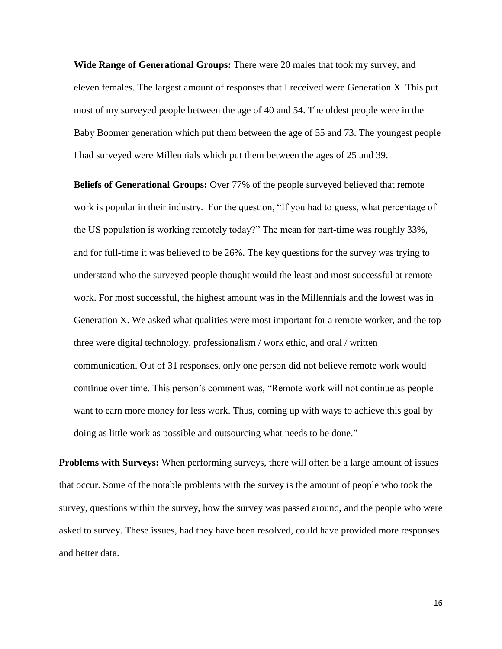**Wide Range of Generational Groups:** There were 20 males that took my survey, and eleven females. The largest amount of responses that I received were Generation X. This put most of my surveyed people between the age of 40 and 54. The oldest people were in the Baby Boomer generation which put them between the age of 55 and 73. The youngest people I had surveyed were Millennials which put them between the ages of 25 and 39.

**Beliefs of Generational Groups:** Over 77% of the people surveyed believed that remote work is popular in their industry. For the question, "If you had to guess, what percentage of the US population is working remotely today?" The mean for part-time was roughly 33%, and for full-time it was believed to be 26%. The key questions for the survey was trying to understand who the surveyed people thought would the least and most successful at remote work. For most successful, the highest amount was in the Millennials and the lowest was in Generation X. We asked what qualities were most important for a remote worker, and the top three were digital technology, professionalism / work ethic, and oral / written communication. Out of 31 responses, only one person did not believe remote work would continue over time. This person's comment was, "Remote work will not continue as people want to earn more money for less work. Thus, coming up with ways to achieve this goal by doing as little work as possible and outsourcing what needs to be done."

**Problems with Surveys:** When performing surveys, there will often be a large amount of issues that occur. Some of the notable problems with the survey is the amount of people who took the survey, questions within the survey, how the survey was passed around, and the people who were asked to survey. These issues, had they have been resolved, could have provided more responses and better data.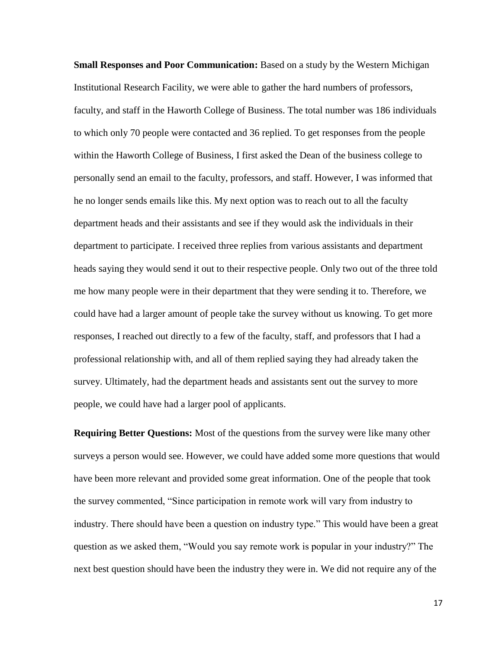**Small Responses and Poor Communication:** Based on a study by the Western Michigan Institutional Research Facility, we were able to gather the hard numbers of professors, faculty, and staff in the Haworth College of Business. The total number was 186 individuals to which only 70 people were contacted and 36 replied. To get responses from the people within the Haworth College of Business, I first asked the Dean of the business college to personally send an email to the faculty, professors, and staff. However, I was informed that he no longer sends emails like this. My next option was to reach out to all the faculty department heads and their assistants and see if they would ask the individuals in their department to participate. I received three replies from various assistants and department heads saying they would send it out to their respective people. Only two out of the three told me how many people were in their department that they were sending it to. Therefore, we could have had a larger amount of people take the survey without us knowing. To get more responses, I reached out directly to a few of the faculty, staff, and professors that I had a professional relationship with, and all of them replied saying they had already taken the survey. Ultimately, had the department heads and assistants sent out the survey to more people, we could have had a larger pool of applicants.

**Requiring Better Questions:** Most of the questions from the survey were like many other surveys a person would see. However, we could have added some more questions that would have been more relevant and provided some great information. One of the people that took the survey commented, "Since participation in remote work will vary from industry to industry. There should have been a question on industry type." This would have been a great question as we asked them, "Would you say remote work is popular in your industry?" The next best question should have been the industry they were in. We did not require any of the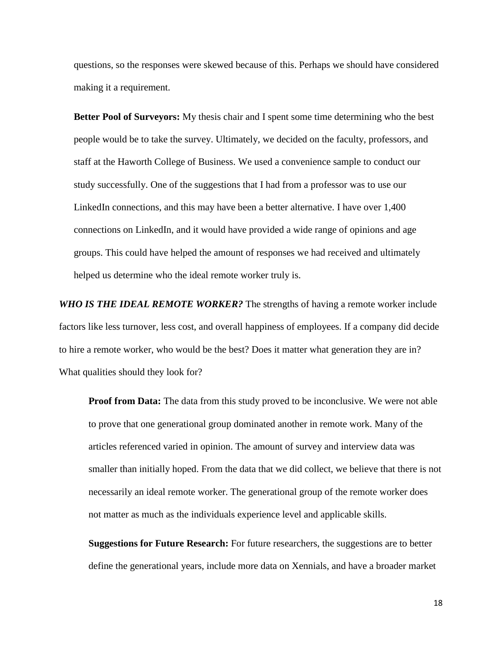questions, so the responses were skewed because of this. Perhaps we should have considered making it a requirement.

**Better Pool of Surveyors:** My thesis chair and I spent some time determining who the best people would be to take the survey. Ultimately, we decided on the faculty, professors, and staff at the Haworth College of Business. We used a convenience sample to conduct our study successfully. One of the suggestions that I had from a professor was to use our LinkedIn connections, and this may have been a better alternative. I have over 1,400 connections on LinkedIn, and it would have provided a wide range of opinions and age groups. This could have helped the amount of responses we had received and ultimately helped us determine who the ideal remote worker truly is.

*WHO IS THE IDEAL REMOTE WORKER?* The strengths of having a remote worker include factors like less turnover, less cost, and overall happiness of employees. If a company did decide to hire a remote worker, who would be the best? Does it matter what generation they are in? What qualities should they look for?

**Proof from Data:** The data from this study proved to be inconclusive. We were not able to prove that one generational group dominated another in remote work. Many of the articles referenced varied in opinion. The amount of survey and interview data was smaller than initially hoped. From the data that we did collect, we believe that there is not necessarily an ideal remote worker. The generational group of the remote worker does not matter as much as the individuals experience level and applicable skills.

**Suggestions for Future Research:** For future researchers, the suggestions are to better define the generational years, include more data on Xennials, and have a broader market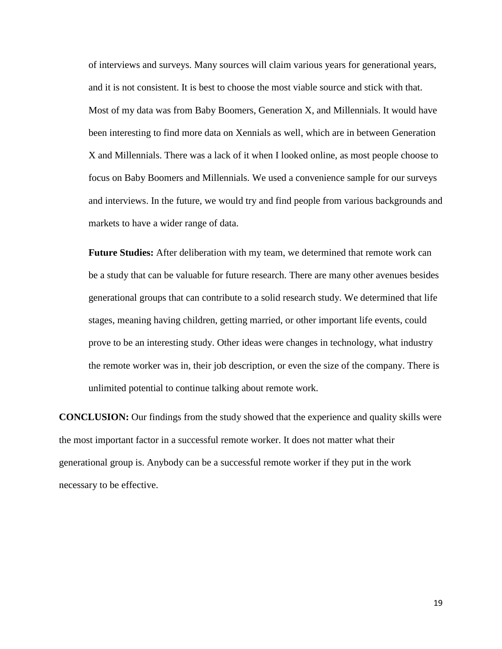of interviews and surveys. Many sources will claim various years for generational years, and it is not consistent. It is best to choose the most viable source and stick with that. Most of my data was from Baby Boomers, Generation X, and Millennials. It would have been interesting to find more data on Xennials as well, which are in between Generation X and Millennials. There was a lack of it when I looked online, as most people choose to focus on Baby Boomers and Millennials. We used a convenience sample for our surveys and interviews. In the future, we would try and find people from various backgrounds and markets to have a wider range of data.

**Future Studies:** After deliberation with my team, we determined that remote work can be a study that can be valuable for future research. There are many other avenues besides generational groups that can contribute to a solid research study. We determined that life stages, meaning having children, getting married, or other important life events, could prove to be an interesting study. Other ideas were changes in technology, what industry the remote worker was in, their job description, or even the size of the company. There is unlimited potential to continue talking about remote work.

**CONCLUSION:** Our findings from the study showed that the experience and quality skills were the most important factor in a successful remote worker. It does not matter what their generational group is. Anybody can be a successful remote worker if they put in the work necessary to be effective.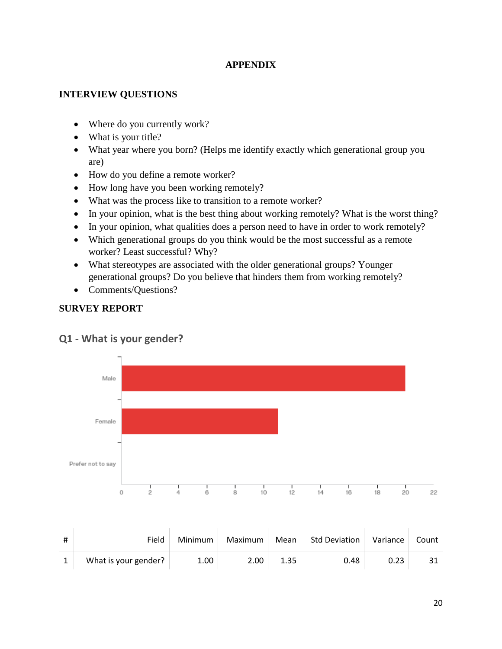#### **APPENDIX**

#### **INTERVIEW QUESTIONS**

- Where do you currently work?
- What is your title?
- What year where you born? (Helps me identify exactly which generational group you are)
- How do you define a remote worker?
- How long have you been working remotely?
- What was the process like to transition to a remote worker?
- In your opinion, what is the best thing about working remotely? What is the worst thing?
- In your opinion, what qualities does a person need to have in order to work remotely?
- Which generational groups do you think would be the most successful as a remote worker? Least successful? Why?
- What stereotypes are associated with the older generational groups? Younger generational groups? Do you believe that hinders them from working remotely?
- Comments/Questions?

### **SURVEY REPORT**



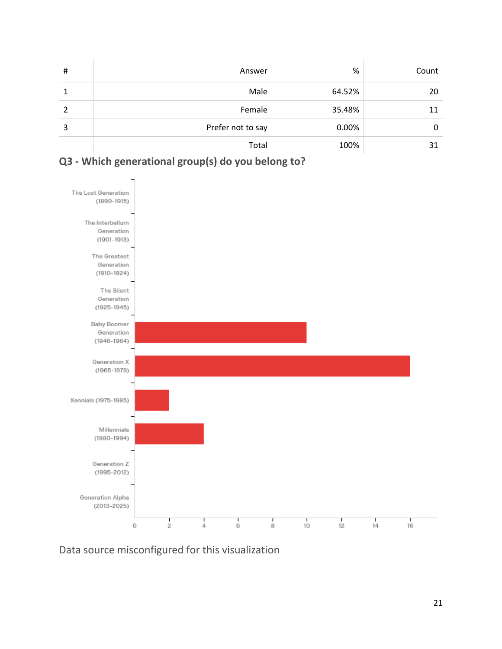| # | Answer            | %      | Count |
|---|-------------------|--------|-------|
|   | Male              | 64.52% | 20    |
|   | Female            | 35.48% | 11    |
| 3 | Prefer not to say | 0.00%  | 0     |
|   | Total             | 100%   | 31    |



## **Q3 - Which generational group(s) do you belong to?**

Data source misconfigured for this visualization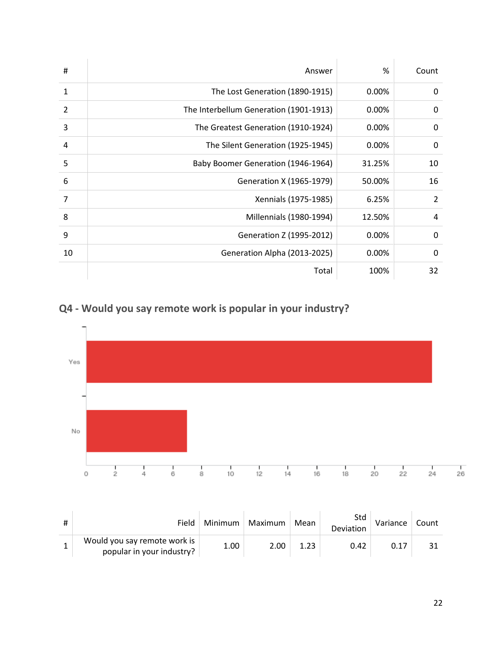| #            | Answer                                 | %        | Count          |
|--------------|----------------------------------------|----------|----------------|
| $\mathbf{1}$ | The Lost Generation (1890-1915)        | 0.00%    | 0              |
| 2            | The Interbellum Generation (1901-1913) | 0.00%    | 0              |
| 3            | The Greatest Generation (1910-1924)    | 0.00%    | 0              |
| 4            | The Silent Generation (1925-1945)      | 0.00%    | 0              |
| 5            | Baby Boomer Generation (1946-1964)     | 31.25%   | 10             |
| 6            | Generation X (1965-1979)               | 50.00%   | 16             |
| 7            | Xennials (1975-1985)                   | 6.25%    | $\overline{2}$ |
| 8            | Millennials (1980-1994)                | 12.50%   | 4              |
| 9            | Generation Z (1995-2012)               | 0.00%    | 0              |
| 10           | Generation Alpha (2013-2025)           | $0.00\%$ | 0              |
|              | Total                                  | 100%     | 32             |

**Q4 - Would you say remote work is popular in your industry?**



| Field                                                     | Minimum | Maximum | Mean | Std<br>Deviation | Variance | Count        |
|-----------------------------------------------------------|---------|---------|------|------------------|----------|--------------|
| Would you say remote work is<br>popular in your industry? | 1.00    | 2.00    | 1.23 | 0.42             | 0.17     | $3^{\prime}$ |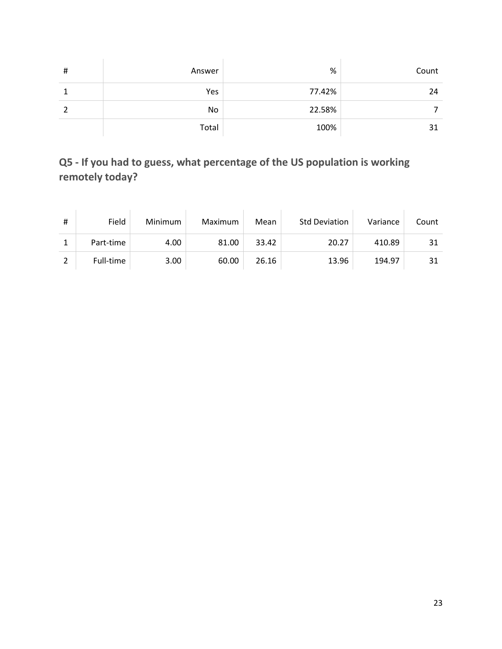| # | Answer | $\%$   | Count |
|---|--------|--------|-------|
|   | Yes    | 77.42% | 24    |
|   | No     | 22.58% |       |
|   | Total  | 100%   | 31    |

## **Q5 - If you had to guess, what percentage of the US population is working remotely today?**

| # | Field     | Minimum | Maximum | Mean  | <b>Std Deviation</b> | Variance | Count |
|---|-----------|---------|---------|-------|----------------------|----------|-------|
|   | Part-time | 4.00    | 81.00   | 33.42 | 20.27                | 410.89   | 31    |
|   | Full-time | 3.00    | 60.00   | 26.16 | 13.96                | 194.97   | 31    |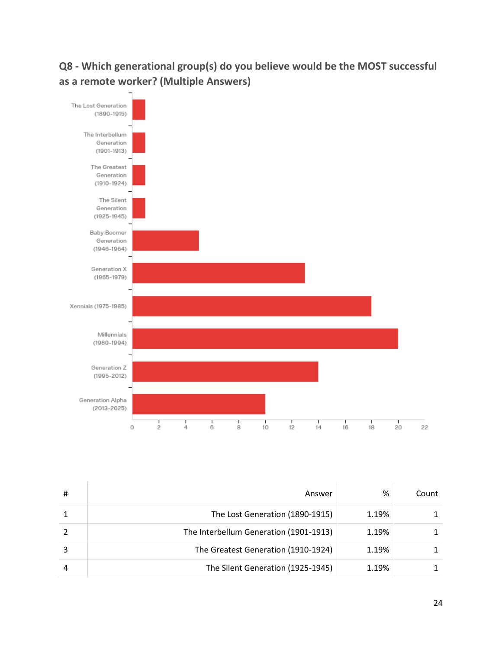# **Q8 - Which generational group(s) do you believe would be the MOST successful as a remote worker? (Multiple Answers)**



| Answer                                 | %     | Count |
|----------------------------------------|-------|-------|
| The Lost Generation (1890-1915)        | 1.19% |       |
| The Interbellum Generation (1901-1913) | 1.19% |       |
| The Greatest Generation (1910-1924)    | 1.19% |       |
| The Silent Generation (1925-1945)      | 1.19% |       |

÷

÷

J.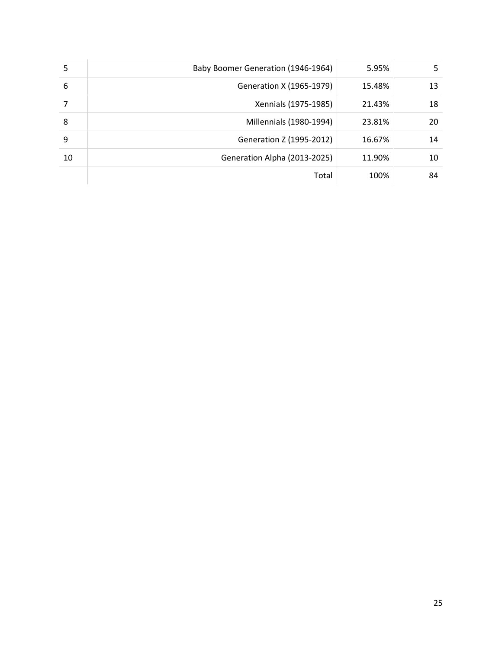| 5  | Baby Boomer Generation (1946-1964) | 5.95%  | 5  |
|----|------------------------------------|--------|----|
| 6  | Generation X (1965-1979)           | 15.48% | 13 |
|    | Xennials (1975-1985)               | 21.43% | 18 |
| 8  | Millennials (1980-1994)            | 23.81% | 20 |
| 9  | Generation Z (1995-2012)           | 16.67% | 14 |
| 10 | Generation Alpha (2013-2025)       | 11.90% | 10 |
|    | Total                              | 100%   | 84 |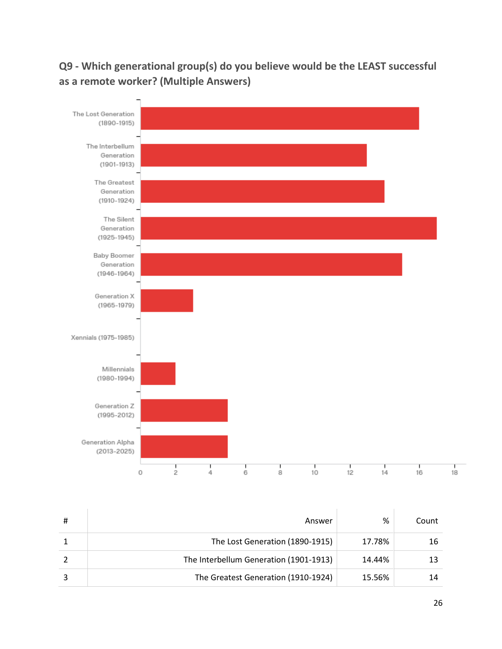## **Q9 - Which generational group(s) do you believe would be the LEAST successful as a remote worker? (Multiple Answers)**



| Answer                                 | %      | Count |
|----------------------------------------|--------|-------|
| The Lost Generation (1890-1915)        | 17.78% | 16    |
| The Interbellum Generation (1901-1913) | 14.44% |       |
| The Greatest Generation (1910-1924)    | 15.56% |       |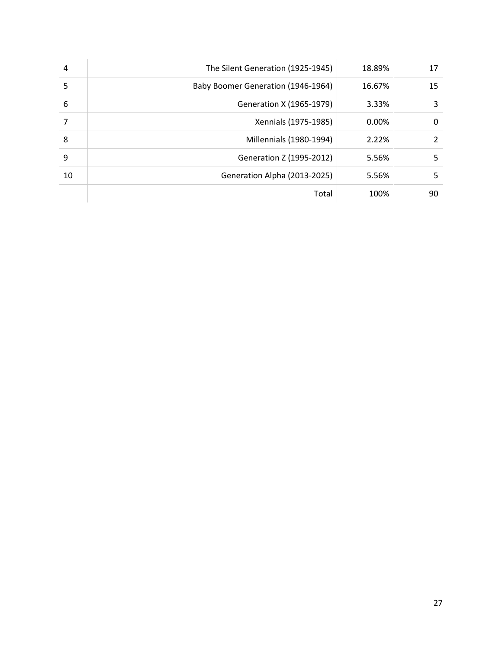| 4  | The Silent Generation (1925-1945)  | 18.89% | 17 |
|----|------------------------------------|--------|----|
| 5  | Baby Boomer Generation (1946-1964) | 16.67% | 15 |
| 6  | Generation X (1965-1979)           | 3.33%  | 3  |
|    | Xennials (1975-1985)               | 0.00%  | 0  |
| 8  | Millennials (1980-1994)            | 2.22%  | 2  |
| 9  | Generation Z (1995-2012)           | 5.56%  | 5  |
| 10 | Generation Alpha (2013-2025)       | 5.56%  | 5  |
|    | Total                              | 100%   | 90 |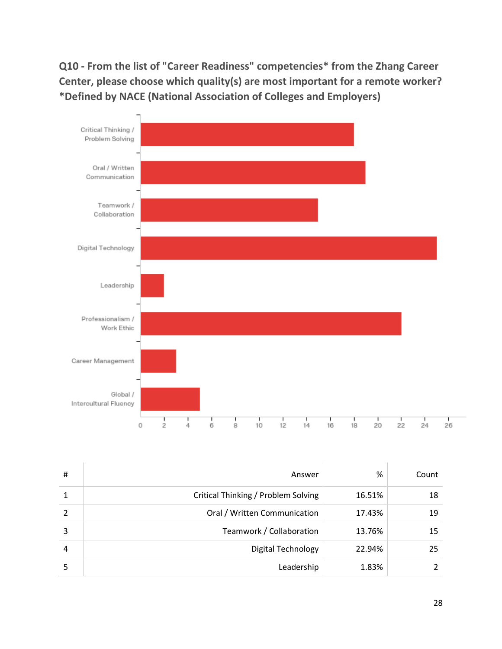**Q10 - From the list of "Career Readiness" competencies\* from the Zhang Career Center, please choose which quality(s) are most important for a remote worker? \*Defined by NACE (National Association of Colleges and Employers)**



| # | Answer                              | %      | Count |
|---|-------------------------------------|--------|-------|
|   | Critical Thinking / Problem Solving | 16.51% | 18    |
|   | Oral / Written Communication        | 17.43% | 19    |
| 3 | Teamwork / Collaboration            | 13.76% | 15    |
| 4 | <b>Digital Technology</b>           | 22.94% | 25    |
|   | Leadership                          | 1.83%  |       |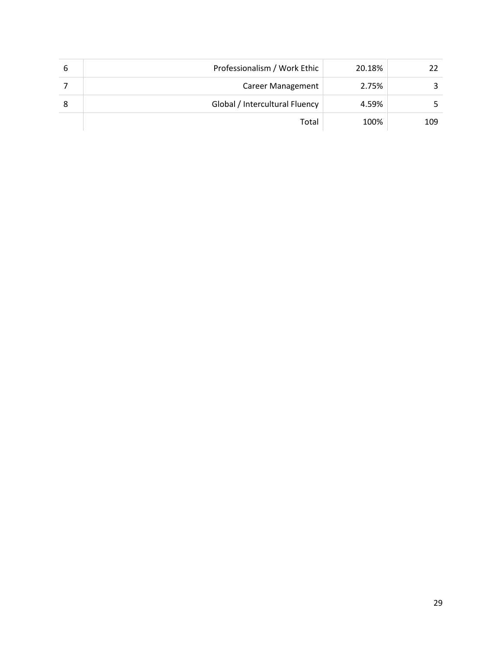| 6 | Professionalism / Work Ethic   | 20.18% |     |
|---|--------------------------------|--------|-----|
|   | <b>Career Management</b>       | 2.75%  |     |
|   | Global / Intercultural Fluency | 4.59%  |     |
|   | Total                          | 100%   | 109 |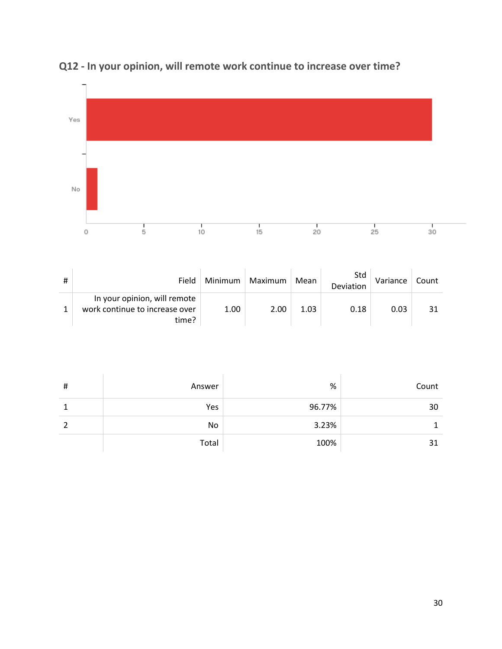

# **Q12 - In your opinion, will remote work continue to increase over time?**

| # | Field                                                                   | Minimum | Maximum | Mean | Std<br>Deviation | Variance | Count |
|---|-------------------------------------------------------------------------|---------|---------|------|------------------|----------|-------|
|   | In your opinion, will remote<br>work continue to increase over<br>time? | 1.00    | 2.00    | 1.03 | 0.18             | 0.03     | 31    |

| # | Answer | $\%$   | Count |
|---|--------|--------|-------|
|   | Yes    | 96.77% | 30    |
|   | No     | 3.23%  |       |
|   | Total  | 100%   | 31    |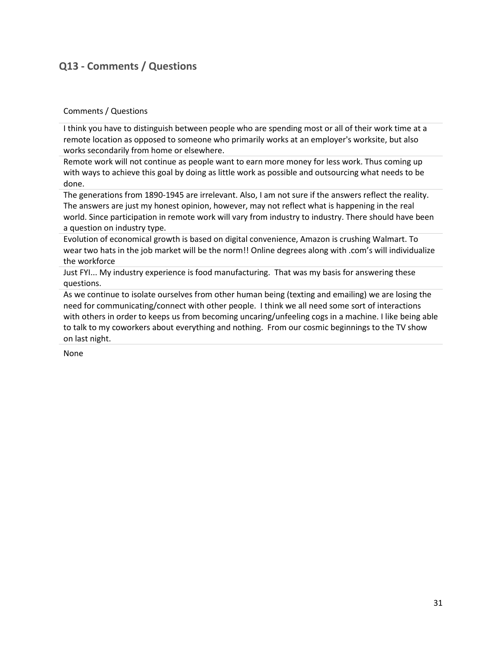### **Q13 - Comments / Questions**

#### Comments / Questions

I think you have to distinguish between people who are spending most or all of their work time at a remote location as opposed to someone who primarily works at an employer's worksite, but also works secondarily from home or elsewhere.

Remote work will not continue as people want to earn more money for less work. Thus coming up with ways to achieve this goal by doing as little work as possible and outsourcing what needs to be done.

The generations from 1890-1945 are irrelevant. Also, I am not sure if the answers reflect the reality. The answers are just my honest opinion, however, may not reflect what is happening in the real world. Since participation in remote work will vary from industry to industry. There should have been a question on industry type.

Evolution of economical growth is based on digital convenience, Amazon is crushing Walmart. To wear two hats in the job market will be the norm!! Online degrees along with .com's will individualize the workforce

Just FYI... My industry experience is food manufacturing. That was my basis for answering these questions.

As we continue to isolate ourselves from other human being (texting and emailing) we are losing the need for communicating/connect with other people. I think we all need some sort of interactions with others in order to keeps us from becoming uncaring/unfeeling cogs in a machine. I like being able to talk to my coworkers about everything and nothing. From our cosmic beginnings to the TV show on last night.

None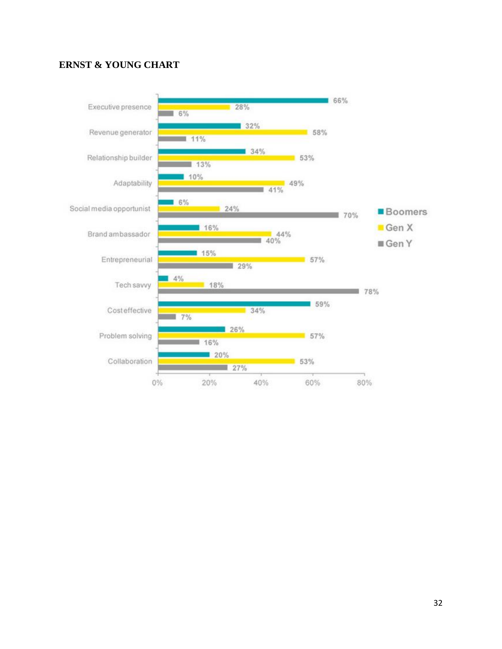### **ERNST & YOUNG CHART**

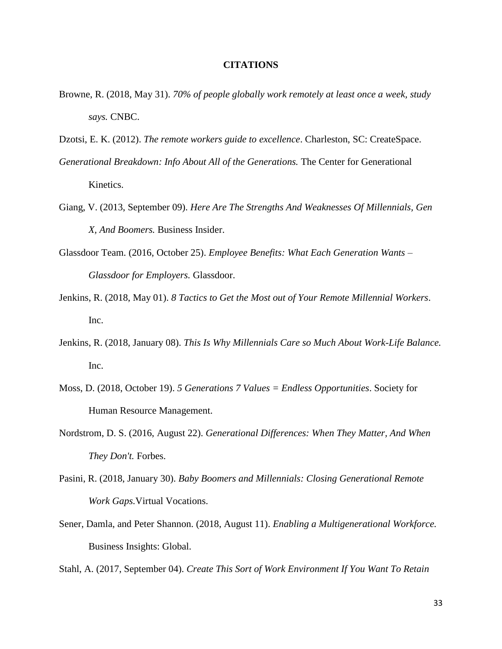#### **CITATIONS**

- Browne, R. (2018, May 31). *70% of people globally work remotely at least once a week, study says.* CNBC.
- Dzotsi, E. K. (2012). *The remote workers guide to excellence*. Charleston, SC: CreateSpace.
- *Generational Breakdown: Info About All of the Generations.* The Center for Generational Kinetics.
- Giang, V. (2013, September 09). *Here Are The Strengths And Weaknesses Of Millennials, Gen X, And Boomers.* Business Insider.
- Glassdoor Team. (2016, October 25). *Employee Benefits: What Each Generation Wants – Glassdoor for Employers.* Glassdoor.
- Jenkins, R. (2018, May 01). *8 Tactics to Get the Most out of Your Remote Millennial Workers*. Inc.
- Jenkins, R. (2018, January 08). *This Is Why Millennials Care so Much About Work-Life Balance.* Inc.
- Moss, D. (2018, October 19). *5 Generations 7 Values = Endless Opportunities*. Society for Human Resource Management.
- Nordstrom, D. S. (2016, August 22). *Generational Differences: When They Matter, And When They Don't.* Forbes.
- Pasini, R. (2018, January 30). *Baby Boomers and Millennials: Closing Generational Remote Work Gaps.*Virtual Vocations.
- Sener, Damla, and Peter Shannon. (2018, August 11). *Enabling a Multigenerational Workforce.* Business Insights: Global.

Stahl, A. (2017, September 04). *Create This Sort of Work Environment If You Want To Retain*